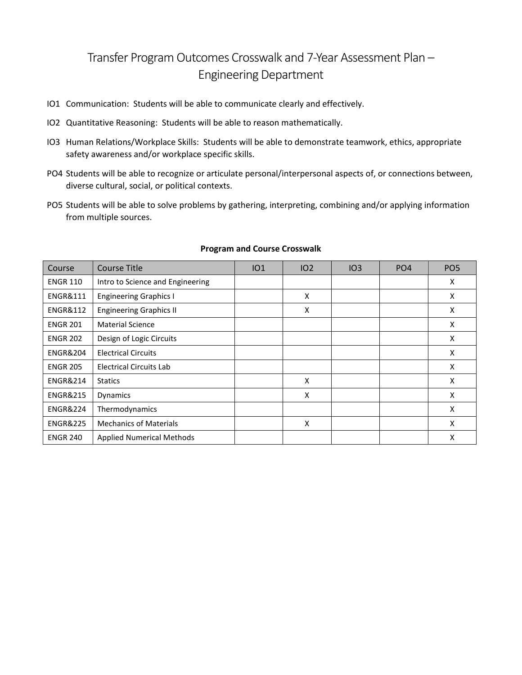## Transfer Program Outcomes Crosswalk and 7-Year Assessment Plan – Engineering Department

- IO1 Communication: Students will be able to communicate clearly and effectively.
- IO2 Quantitative Reasoning: Students will be able to reason mathematically.
- IO3 Human Relations/Workplace Skills: Students will be able to demonstrate teamwork, ethics, appropriate safety awareness and/or workplace specific skills.
- PO4 Students will be able to recognize or articulate personal/interpersonal aspects of, or connections between, diverse cultural, social, or political contexts.
- PO5 Students will be able to solve problems by gathering, interpreting, combining and/or applying information from multiple sources.

| Course              | Course Title                     | IO1 | IO <sub>2</sub> | IO3 | PO <sub>4</sub> | PO <sub>5</sub> |
|---------------------|----------------------------------|-----|-----------------|-----|-----------------|-----------------|
| <b>ENGR 110</b>     | Intro to Science and Engineering |     |                 |     |                 | X               |
| <b>ENGR&amp;111</b> | <b>Engineering Graphics I</b>    |     | X               |     |                 | X               |
| <b>ENGR&amp;112</b> | <b>Engineering Graphics II</b>   |     | X               |     |                 | X               |
| <b>ENGR 201</b>     | <b>Material Science</b>          |     |                 |     |                 | X               |
| <b>ENGR 202</b>     | Design of Logic Circuits         |     |                 |     |                 | X               |
| <b>ENGR&amp;204</b> | <b>Electrical Circuits</b>       |     |                 |     |                 | X               |
| <b>ENGR 205</b>     | Electrical Circuits Lab          |     |                 |     |                 | X               |
| <b>ENGR&amp;214</b> | <b>Statics</b>                   |     | X               |     |                 | X               |
| <b>ENGR&amp;215</b> | <b>Dynamics</b>                  |     | X               |     |                 | X               |
| <b>ENGR&amp;224</b> | Thermodynamics                   |     |                 |     |                 | X               |
| <b>ENGR&amp;225</b> | <b>Mechanics of Materials</b>    |     | X               |     |                 | X               |
| <b>ENGR 240</b>     | <b>Applied Numerical Methods</b> |     |                 |     |                 | X               |

## **Program and Course Crosswalk**